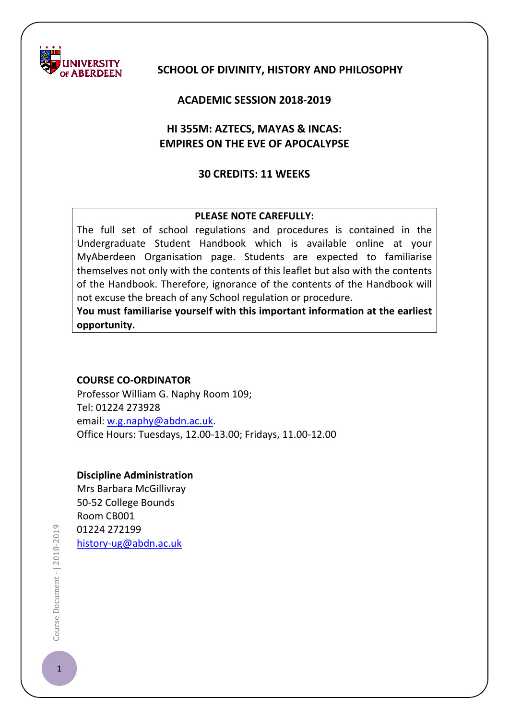

# **SCHOOL OF DIVINITY, HISTORY AND PHILOSOPHY**

## **ACADEMIC SESSION 2018-2019**

# **HI 355M: AZTECS, MAYAS & INCAS: EMPIRES ON THE EVE OF APOCALYPSE**

# **30 CREDITS: 11 WEEKS**

## **PLEASE NOTE CAREFULLY:**

The full set of school regulations and procedures is contained in the Undergraduate Student Handbook which is available online at your MyAberdeen Organisation page. Students are expected to familiarise themselves not only with the contents of this leaflet but also with the contents of the Handbook. Therefore, ignorance of the contents of the Handbook will not excuse the breach of any School regulation or procedure.

**You must familiarise yourself with this important information at the earliest opportunity.**

#### **COURSE CO-ORDINATOR**

Professor William G. Naphy Room 109; Tel: 01224 273928 email: [w.g.naphy@abdn.ac.uk.](mailto:w.g.naphy@abdn.ac.uk) Office Hours: Tuesdays, 12.00-13.00; Fridays, 11.00-12.00

## **Discipline Administration**

Mrs Barbara McGillivray 50-52 College Bounds Room CB001 01224 272199 [history-ug@abdn.ac.uk](mailto:history-ug@abdn.ac.uk)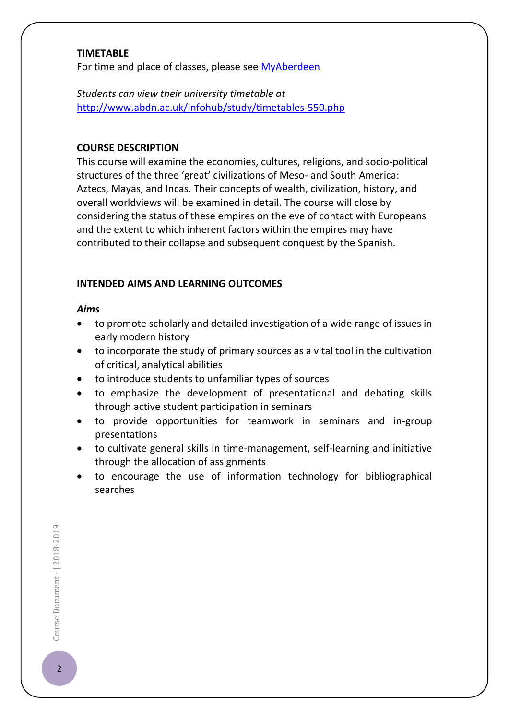## **TIMETABLE**

For time and place of classes, please see [MyAberdeen](https://abdn.blackboard.com/)

*Students can view their university timetable at*  <http://www.abdn.ac.uk/infohub/study/timetables-550.php>

## **COURSE DESCRIPTION**

This course will examine the economies, cultures, religions, and socio-political structures of the three 'great' civilizations of Meso- and South America: Aztecs, Mayas, and Incas. Their concepts of wealth, civilization, history, and overall worldviews will be examined in detail. The course will close by considering the status of these empires on the eve of contact with Europeans and the extent to which inherent factors within the empires may have contributed to their collapse and subsequent conquest by the Spanish.

### **INTENDED AIMS AND LEARNING OUTCOMES**

#### *Aims*

- to promote scholarly and detailed investigation of a wide range of issues in early modern history
- to incorporate the study of primary sources as a vital tool in the cultivation of critical, analytical abilities
- to introduce students to unfamiliar types of sources
- to emphasize the development of presentational and debating skills through active student participation in seminars
- to provide opportunities for teamwork in seminars and in-group presentations
- to cultivate general skills in time-management, self-learning and initiative through the allocation of assignments
- to encourage the use of information technology for bibliographical searches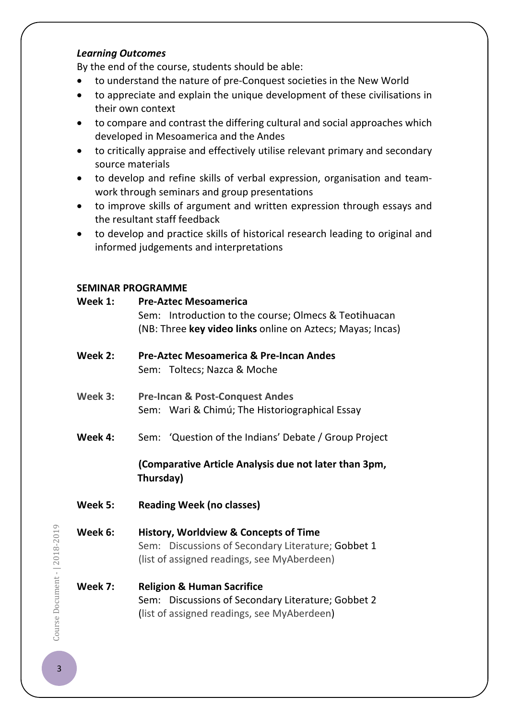## *Learning Outcomes*

By the end of the course, students should be able:

- to understand the nature of pre-Conquest societies in the New World
- to appreciate and explain the unique development of these civilisations in their own context
- to compare and contrast the differing cultural and social approaches which developed in Mesoamerica and the Andes
- to critically appraise and effectively utilise relevant primary and secondary source materials
- to develop and refine skills of verbal expression, organisation and teamwork through seminars and group presentations
- to improve skills of argument and written expression through essays and the resultant staff feedback
- to develop and practice skills of historical research leading to original and informed judgements and interpretations

# **SEMINAR PROGRAMME**

| Sem: Introduction to the course; Olmecs & Teotihuacan      |
|------------------------------------------------------------|
|                                                            |
| (NB: Three key video links online on Aztecs; Mayas; Incas) |
|                                                            |
|                                                            |
|                                                            |
|                                                            |
|                                                            |
|                                                            |
|                                                            |
|                                                            |
|                                                            |
| Sem: 'Question of the Indians' Debate / Group Project      |
|                                                            |
| (Comparative Article Analysis due not later than 3pm,      |
|                                                            |
|                                                            |
|                                                            |
|                                                            |
|                                                            |
|                                                            |
|                                                            |
|                                                            |
|                                                            |
|                                                            |
|                                                            |
|                                                            |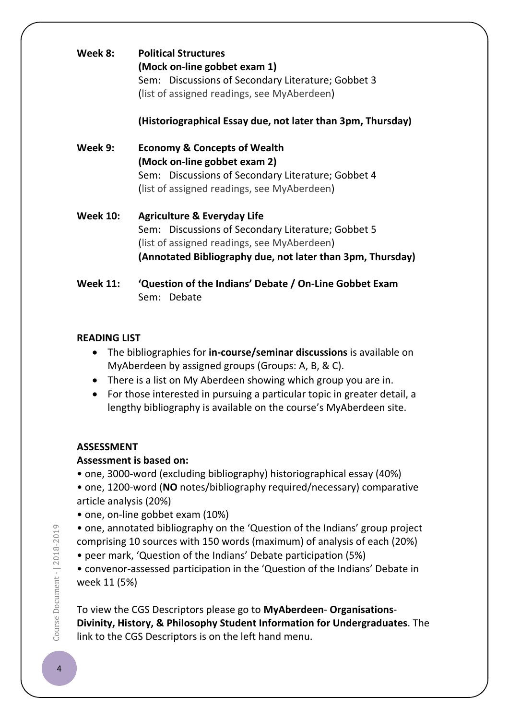| Week 8:         | <b>Political Structures</b><br>(Mock on-line gobbet exam 1)<br>Sem: Discussions of Secondary Literature; Gobbet 3<br>(list of assigned readings, see MyAberdeen)                                          |
|-----------------|-----------------------------------------------------------------------------------------------------------------------------------------------------------------------------------------------------------|
|                 | (Historiographical Essay due, not later than 3pm, Thursday)                                                                                                                                               |
| Week 9:         | <b>Economy &amp; Concepts of Wealth</b><br>(Mock on-line gobbet exam 2)<br>Sem: Discussions of Secondary Literature; Gobbet 4<br>(list of assigned readings, see MyAberdeen)                              |
| <b>Week 10:</b> | <b>Agriculture &amp; Everyday Life</b><br>Sem: Discussions of Secondary Literature; Gobbet 5<br>(list of assigned readings, see MyAberdeen)<br>(Annotated Bibliography due, not later than 3pm, Thursday) |
| <b>Week 11:</b> | 'Question of the Indians' Debate / On-Line Gobbet Exam<br>Sem: Debate                                                                                                                                     |

## **READING LIST**

- The bibliographies for **in-course/seminar discussions** is available on MyAberdeen by assigned groups (Groups: A, B, & C).
- There is a list on My Aberdeen showing which group you are in.
- For those interested in pursuing a particular topic in greater detail, a lengthy bibliography is available on the course's MyAberdeen site.

# **ASSESSMENT**

# **Assessment is based on:**

- one, 3000-word (excluding bibliography) historiographical essay (40%)
- one, 1200-word (**NO** notes/bibliography required/necessary) comparative article analysis (20%)
- one, on-line gobbet exam (10%)

• one, annotated bibliography on the 'Question of the Indians' group project comprising 10 sources with 150 words (maximum) of analysis of each (20%)

• peer mark, 'Question of the Indians' Debate participation (5%)

• convenor-assessed participation in the 'Question of the Indians' Debate in week 11 (5%)

To view the CGS Descriptors please go to **MyAberdeen**- **Organisations**-**Divinity, History, & Philosophy Student Information for Undergraduates**. The link to the CGS Descriptors is on the left hand menu.

Course Document - | 2018-2019  $\bullet$   $\bullet$  Document -  $| 2018 - 2019$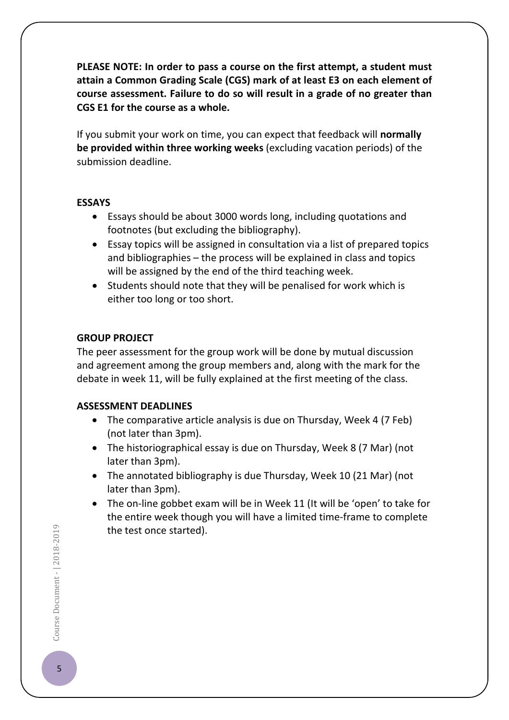**PLEASE NOTE: In order to pass a course on the first attempt, a student must attain a Common Grading Scale (CGS) mark of at least E3 on each element of course assessment. Failure to do so will result in a grade of no greater than CGS E1 for the course as a whole.**

If you submit your work on time, you can expect that feedback will **normally be provided within three working weeks** (excluding vacation periods) of the submission deadline.

## **ESSAYS**

- Essays should be about 3000 words long, including quotations and footnotes (but excluding the bibliography).
- Essay topics will be assigned in consultation via a list of prepared topics and bibliographies – the process will be explained in class and topics will be assigned by the end of the third teaching week.
- Students should note that they will be penalised for work which is either too long or too short.

# **GROUP PROJECT**

The peer assessment for the group work will be done by mutual discussion and agreement among the group members and, along with the mark for the debate in week 11, will be fully explained at the first meeting of the class.

# **ASSESSMENT DEADLINES**

- The comparative article analysis is due on Thursday, Week 4 (7 Feb) (not later than 3pm).
- The historiographical essay is due on Thursday, Week 8 (7 Mar) (not later than 3pm).
- The annotated bibliography is due Thursday, Week 10 (21 Mar) (not later than 3pm).
- The on-line gobbet exam will be in Week 11 (It will be 'open' to take for the entire week though you will have a limited time-frame to complete the test once started).